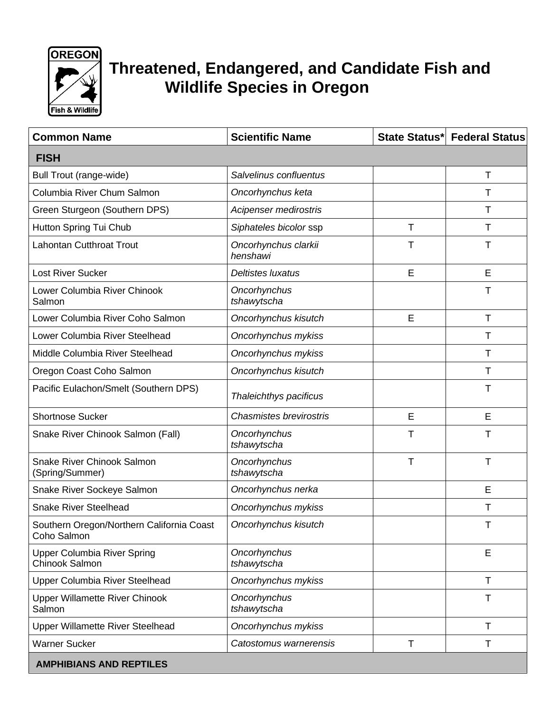

## **Threatened, Endangered, and Candidate Fish and Wildlife Species in Oregon**

| <b>Common Name</b>                                       | <b>Scientific Name</b>           |   | State Status* Federal Status |
|----------------------------------------------------------|----------------------------------|---|------------------------------|
| <b>FISH</b>                                              |                                  |   |                              |
| Bull Trout (range-wide)                                  | Salvelinus confluentus           |   | Τ                            |
| Columbia River Chum Salmon                               | Oncorhynchus keta                |   | т                            |
| Green Sturgeon (Southern DPS)                            | Acipenser medirostris            |   | Т                            |
| Hutton Spring Tui Chub                                   | Siphateles bicolor ssp           | T | Т                            |
| <b>Lahontan Cutthroat Trout</b>                          | Oncorhynchus clarkii<br>henshawi | т | т                            |
| <b>Lost River Sucker</b>                                 | Deltistes luxatus                | E | E                            |
| Lower Columbia River Chinook<br>Salmon                   | Oncorhynchus<br>tshawytscha      |   | т                            |
| Lower Columbia River Coho Salmon                         | Oncorhynchus kisutch             | E | T                            |
| Lower Columbia River Steelhead                           | Oncorhynchus mykiss              |   | Т                            |
| Middle Columbia River Steelhead                          | Oncorhynchus mykiss              |   | т                            |
| Oregon Coast Coho Salmon                                 | Oncorhynchus kisutch             |   | т                            |
| Pacific Eulachon/Smelt (Southern DPS)                    | Thaleichthys pacificus           |   | Т                            |
| <b>Shortnose Sucker</b>                                  | <b>Chasmistes brevirostris</b>   | E | E                            |
| Snake River Chinook Salmon (Fall)                        | Oncorhynchus<br>tshawytscha      | T | т                            |
| Snake River Chinook Salmon<br>(Spring/Summer)            | Oncorhynchus<br>tshawytscha      | Τ | т                            |
| Snake River Sockeye Salmon                               | Oncorhynchus nerka               |   | E                            |
| <b>Snake River Steelhead</b>                             | Oncorhynchus mykiss              |   | Т                            |
| Southern Oregon/Northern California Coast<br>Coho Salmon | Oncorhynchus kisutch             |   |                              |
| <b>Upper Columbia River Spring</b><br>Chinook Salmon     | Oncorhynchus<br>tshawytscha      |   | E                            |
| Upper Columbia River Steelhead                           | Oncorhynchus mykiss              |   | $\mathsf{T}$                 |
| <b>Upper Willamette River Chinook</b><br>Salmon          | Oncorhynchus<br>tshawytscha      |   | т                            |
| <b>Upper Willamette River Steelhead</b>                  | Oncorhynchus mykiss              |   | Т                            |
| <b>Warner Sucker</b>                                     | Catostomus warnerensis           | T | Τ                            |
| <b>AMPHIBIANS AND REPTILES</b>                           |                                  |   |                              |